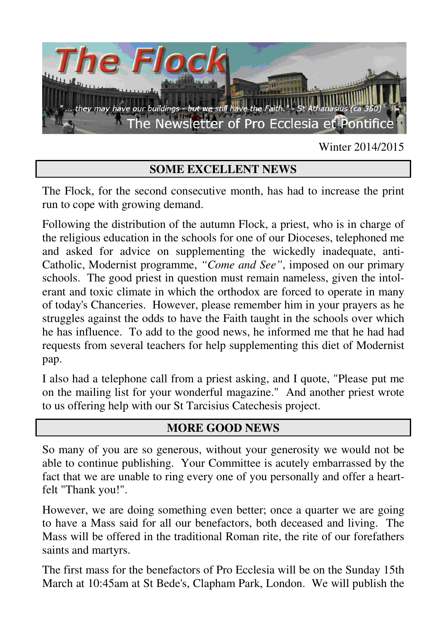

Winter 2014/2015

# **SOME EXCELLENT NEWS**

The Flock, for the second consecutive month, has had to increase the print run to cope with growing demand.

Following the distribution of the autumn Flock, a priest, who is in charge of the religious education in the schools for one of our Dioceses, telephoned me and asked for advice on supplementing the wickedly inadequate, anti-Catholic, Modernist programme, *"Come and See"*, imposed on our primary schools. The good priest in question must remain nameless, given the intolerant and toxic climate in which the orthodox are forced to operate in many of today's Chanceries. However, please remember him in your prayers as he struggles against the odds to have the Faith taught in the schools over which he has influence. To add to the good news, he informed me that he had had requests from several teachers for help supplementing this diet of Modernist pap.

I also had a telephone call from a priest asking, and I quote, "Please put me on the mailing list for your wonderful magazine." And another priest wrote to us offering help with our St Tarcisius Catechesis project.

# **MORE GOOD NEWS**

So many of you are so generous, without your generosity we would not be able to continue publishing. Your Committee is acutely embarrassed by the fact that we are unable to ring every one of you personally and offer a heartfelt "Thank you!".

However, we are doing something even better; once a quarter we are going to have a Mass said for all our benefactors, both deceased and living. The Mass will be offered in the traditional Roman rite, the rite of our forefathers saints and martyrs.

The first mass for the benefactors of Pro Ecclesia will be on the Sunday 15th March at 10:45am at St Bede's, Clapham Park, London. We will publish the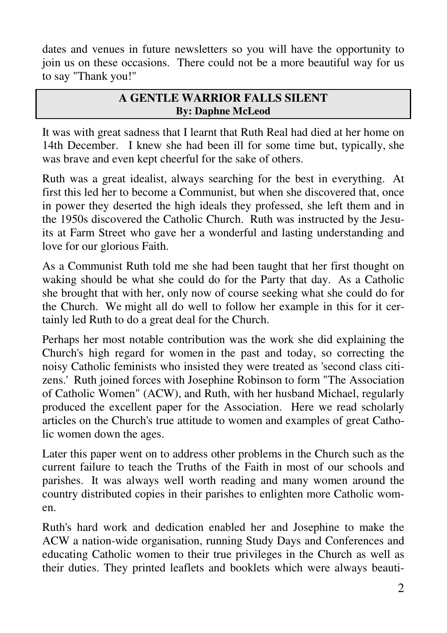dates and venues in future newsletters so you will have the opportunity to join us on these occasions. There could not be a more beautiful way for us to say "Thank you!"

## **A GENTLE WARRIOR FALLS SILENT By: Daphne McLeod**

It was with great sadness that I learnt that Ruth Real had died at her home on 14th December. I knew she had been ill for some time but, typically, she was brave and even kept cheerful for the sake of others.

Ruth was a great idealist, always searching for the best in everything. At first this led her to become a Communist, but when she discovered that, once in power they deserted the high ideals they professed, she left them and in the 1950s discovered the Catholic Church. Ruth was instructed by the Jesuits at Farm Street who gave her a wonderful and lasting understanding and love for our glorious Faith.

As a Communist Ruth told me she had been taught that her first thought on waking should be what she could do for the Party that day. As a Catholic she brought that with her, only now of course seeking what she could do for the Church. We might all do well to follow her example in this for it certainly led Ruth to do a great deal for the Church.

Perhaps her most notable contribution was the work she did explaining the Church's high regard for women in the past and today, so correcting the noisy Catholic feminists who insisted they were treated as 'second class citizens.' Ruth joined forces with Josephine Robinson to form "The Association of Catholic Women" (ACW), and Ruth, with her husband Michael, regularly produced the excellent paper for the Association. Here we read scholarly articles on the Church's true attitude to women and examples of great Catholic women down the ages.

Later this paper went on to address other problems in the Church such as the current failure to teach the Truths of the Faith in most of our schools and parishes. It was always well worth reading and many women around the country distributed copies in their parishes to enlighten more Catholic women.

Ruth's hard work and dedication enabled her and Josephine to make the ACW a nation-wide organisation, running Study Days and Conferences and educating Catholic women to their true privileges in the Church as well as their duties. They printed leaflets and booklets which were always beauti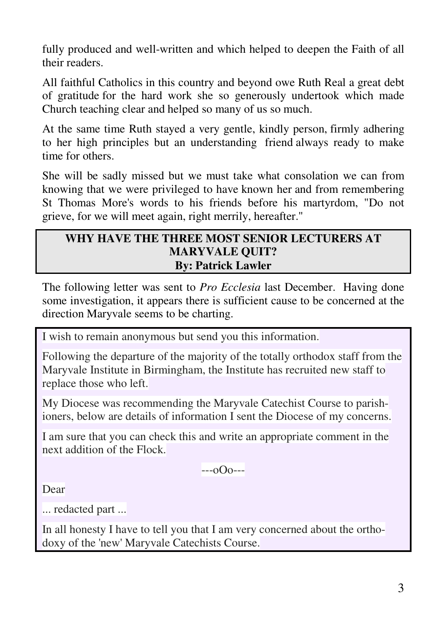fully produced and well-written and which helped to deepen the Faith of all their readers.

All faithful Catholics in this country and beyond owe Ruth Real a great debt of gratitude for the hard work she so generously undertook which made Church teaching clear and helped so many of us so much.

At the same time Ruth stayed a very gentle, kindly person, firmly adhering to her high principles but an understanding friend always ready to make time for others.

She will be sadly missed but we must take what consolation we can from knowing that we were privileged to have known her and from remembering St Thomas More's words to his friends before his martyrdom, "Do not grieve, for we will meet again, right merrily, hereafter."

# **WHY HAVE THE THREE MOST SENIOR LECTURERS AT MARYVALE QUIT? By: Patrick Lawler**

The following letter was sent to *Pro Ecclesia* last December. Having done some investigation, it appears there is sufficient cause to be concerned at the direction Maryvale seems to be charting.

I wish to remain anonymous but send you this information.

Following the departure of the majority of the totally orthodox staff from the Maryvale Institute in Birmingham, the Institute has recruited new staff to replace those who left.

My Diocese was recommending the Maryvale Catechist Course to parishioners, below are details of information I sent the Diocese of my concerns.

I am sure that you can check this and write an appropriate comment in the next addition of the Flock.

---oOo---

Dear

... redacted part ...

In all honesty I have to tell you that I am very concerned about the orthodoxy of the 'new' Maryvale Catechists Course.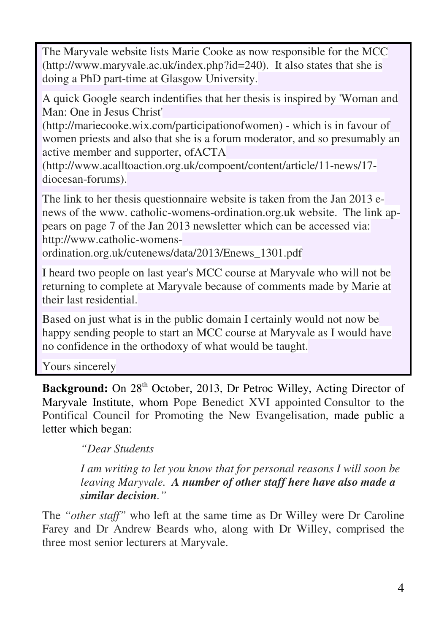The Maryvale website lists Marie Cooke as now responsible for the MCC (http://www.maryvale.ac.uk/index.php?id=240). It also states that she is doing a PhD part-time at Glasgow University.

A quick Google search indentifies that her thesis is inspired by 'Woman and Man: One in Jesus Christ'

(http://mariecooke.wix.com/participationofwomen) - which is in favour of women priests and also that she is a forum moderator, and so presumably an active member and supporter, ofACTA

(http://www.acalltoaction.org.uk/compoent/content/article/11-news/17 diocesan-forums).

The link to her thesis questionnaire website is taken from the Jan 2013 enews of the www. catholic-womens-ordination.org.uk website. The link appears on page 7 of the Jan 2013 newsletter which can be accessed via: http://www.catholic-womens-

ordination.org.uk/cutenews/data/2013/Enews\_1301.pdf

I heard two people on last year's MCC course at Maryvale who will not be returning to complete at Maryvale because of comments made by Marie at their last residential.

Based on just what is in the public domain I certainly would not now be happy sending people to start an MCC course at Maryvale as I would have no confidence in the orthodoxy of what would be taught.

Yours sincerely

**Background:** On 28<sup>th</sup> October, 2013, Dr Petroc Willey, Acting Director of Maryvale Institute, whom Pope Benedict XVI appointed Consultor to the Pontifical Council for Promoting the New Evangelisation, made public a letter which began:

*"Dear Students* 

*I am writing to let you know that for personal reasons I will soon be leaving Maryvale. A number of other staff here have also made a similar decision."*

The *"other staff"* who left at the same time as Dr Willey were Dr Caroline Farey and Dr Andrew Beards who, along with Dr Willey, comprised the three most senior lecturers at Maryvale.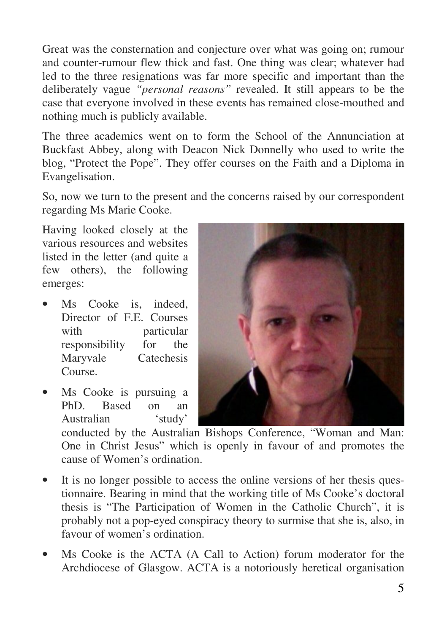Great was the consternation and conjecture over what was going on; rumour and counter-rumour flew thick and fast. One thing was clear; whatever had led to the three resignations was far more specific and important than the deliberately vague *"personal reasons"* revealed. It still appears to be the case that everyone involved in these events has remained close-mouthed and nothing much is publicly available.

The three academics went on to form the School of the Annunciation at Buckfast Abbey, along with Deacon Nick Donnelly who used to write the blog, "Protect the Pope". They offer courses on the Faith and a Diploma in Evangelisation.

So, now we turn to the present and the concerns raised by our correspondent regarding Ms Marie Cooke.

Having looked closely at the various resources and websites listed in the letter (and quite a few others), the following emerges:

- Ms Cooke is, indeed, Director of F.E. Courses with particular responsibility for the Maryvale Catechesis Course.
- Ms Cooke is pursuing a PhD. Based on an Australian 'study'



conducted by the Australian Bishops Conference, "Woman and Man: One in Christ Jesus" which is openly in favour of and promotes the cause of Women's ordination.

- It is no longer possible to access the online versions of her thesis questionnaire. Bearing in mind that the working title of Ms Cooke's doctoral thesis is "The Participation of Women in the Catholic Church", it is probably not a pop-eyed conspiracy theory to surmise that she is, also, in favour of women's ordination.
- Ms Cooke is the ACTA (A Call to Action) forum moderator for the Archdiocese of Glasgow. ACTA is a notoriously heretical organisation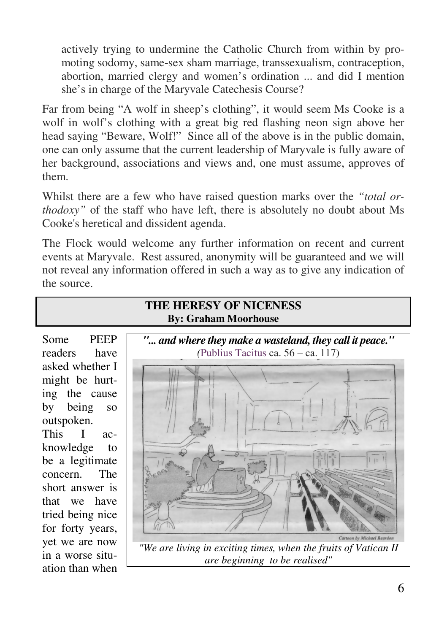actively trying to undermine the Catholic Church from within by promoting sodomy, same-sex sham marriage, transsexualism, contraception, abortion, married clergy and women's ordination ... and did I mention she's in charge of the Maryvale Catechesis Course?

Far from being "A wolf in sheep's clothing", it would seem Ms Cooke is a wolf in wolf's clothing with a great big red flashing neon sign above her head saying "Beware, Wolf!" Since all of the above is in the public domain, one can only assume that the current leadership of Maryvale is fully aware of her background, associations and views and, one must assume, approves of them.

Whilst there are a few who have raised question marks over the *"total orthodoxy"* of the staff who have left, there is absolutely no doubt about Ms Cooke's heretical and dissident agenda.

The Flock would welcome any further information on recent and current events at Maryvale. Rest assured, anonymity will be guaranteed and we will not reveal any information offered in such a way as to give any indication of the source.



ation than when

*are beginning to be realised"*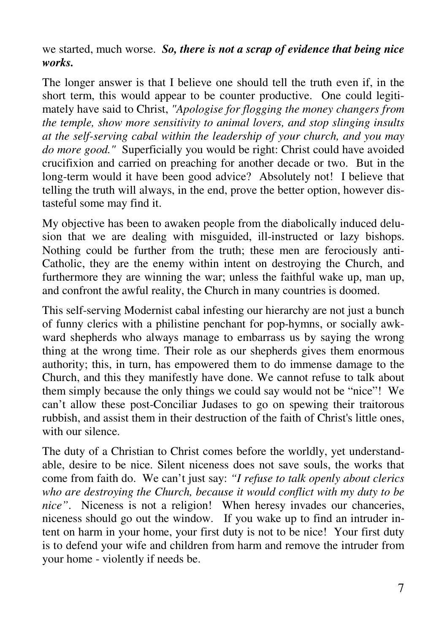## we started, much worse. *So, there is not a scrap of evidence that being nice works.*

The longer answer is that I believe one should tell the truth even if, in the short term, this would appear to be counter productive. One could legitimately have said to Christ, *"Apologise for flogging the money changers from the temple, show more sensitivity to animal lovers, and stop slinging insults at the self-serving cabal within the leadership of your church, and you may do more good."* Superficially you would be right: Christ could have avoided crucifixion and carried on preaching for another decade or two. But in the long-term would it have been good advice? Absolutely not! I believe that telling the truth will always, in the end, prove the better option, however distasteful some may find it.

My objective has been to awaken people from the diabolically induced delusion that we are dealing with misguided, ill-instructed or lazy bishops. Nothing could be further from the truth; these men are ferociously anti-Catholic, they are the enemy within intent on destroying the Church, and furthermore they are winning the war; unless the faithful wake up, man up, and confront the awful reality, the Church in many countries is doomed.

This self-serving Modernist cabal infesting our hierarchy are not just a bunch of funny clerics with a philistine penchant for pop-hymns, or socially awkward shepherds who always manage to embarrass us by saying the wrong thing at the wrong time. Their role as our shepherds gives them enormous authority; this, in turn, has empowered them to do immense damage to the Church, and this they manifestly have done. We cannot refuse to talk about them simply because the only things we could say would not be "nice"! We can't allow these post-Conciliar Judases to go on spewing their traitorous rubbish, and assist them in their destruction of the faith of Christ's little ones, with our silence.

The duty of a Christian to Christ comes before the worldly, yet understandable, desire to be nice. Silent niceness does not save souls, the works that come from faith do. We can't just say: *"I refuse to talk openly about clerics who are destroying the Church, because it would conflict with my duty to be nice"*. Niceness is not a religion! When heresy invades our chanceries, niceness should go out the window. If you wake up to find an intruder intent on harm in your home, your first duty is not to be nice! Your first duty is to defend your wife and children from harm and remove the intruder from your home - violently if needs be.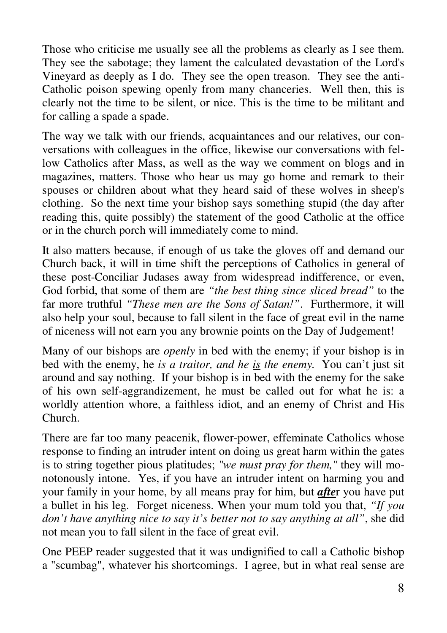Those who criticise me usually see all the problems as clearly as I see them. They see the sabotage; they lament the calculated devastation of the Lord's Vineyard as deeply as I do. They see the open treason. They see the anti-Catholic poison spewing openly from many chanceries. Well then, this is clearly not the time to be silent, or nice. This is the time to be militant and for calling a spade a spade.

The way we talk with our friends, acquaintances and our relatives, our conversations with colleagues in the office, likewise our conversations with fellow Catholics after Mass, as well as the way we comment on blogs and in magazines, matters. Those who hear us may go home and remark to their spouses or children about what they heard said of these wolves in sheep's clothing. So the next time your bishop says something stupid (the day after reading this, quite possibly) the statement of the good Catholic at the office or in the church porch will immediately come to mind.

It also matters because, if enough of us take the gloves off and demand our Church back, it will in time shift the perceptions of Catholics in general of these post-Conciliar Judases away from widespread indifference, or even, God forbid, that some of them are *"the best thing since sliced bread"* to the far more truthful *"These men are the Sons of Satan!"*. Furthermore, it will also help your soul, because to fall silent in the face of great evil in the name of niceness will not earn you any brownie points on the Day of Judgement!

Many of our bishops are *openly* in bed with the enemy; if your bishop is in bed with the enemy, he *is a traitor, and he is the enemy.* You can't just sit around and say nothing. If your bishop is in bed with the enemy for the sake of his own self-aggrandizement, he must be called out for what he is: a worldly attention whore, a faithless idiot, and an enemy of Christ and His Church.

There are far too many peacenik, flower-power, effeminate Catholics whose response to finding an intruder intent on doing us great harm within the gates is to string together pious platitudes; *"we must pray for them,"* they will monotonously intone. Yes, if you have an intruder intent on harming you and your family in your home, by all means pray for him, but *afte*r you have put a bullet in his leg. Forget niceness. When your mum told you that, *"If you don't have anything nice to say it's better not to say anything at all"*, she did not mean you to fall silent in the face of great evil.

One PEEP reader suggested that it was undignified to call a Catholic bishop a "scumbag", whatever his shortcomings. I agree, but in what real sense are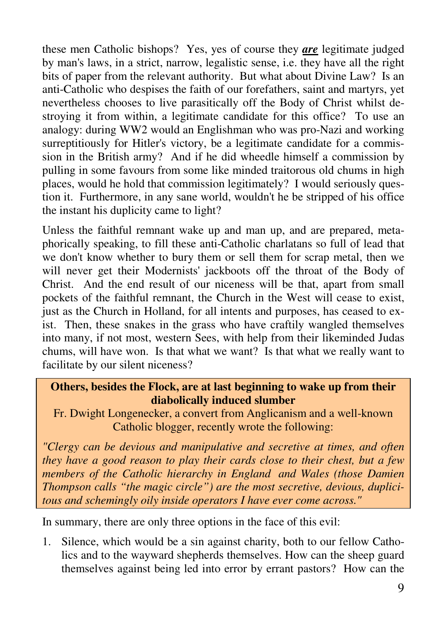these men Catholic bishops? Yes, yes of course they *are* legitimate judged by man's laws, in a strict, narrow, legalistic sense, i.e. they have all the right bits of paper from the relevant authority. But what about Divine Law? Is an anti-Catholic who despises the faith of our forefathers, saint and martyrs, yet nevertheless chooses to live parasitically off the Body of Christ whilst destroying it from within, a legitimate candidate for this office? To use an analogy: during WW2 would an Englishman who was pro-Nazi and working surreptitiously for Hitler's victory, be a legitimate candidate for a commission in the British army? And if he did wheedle himself a commission by pulling in some favours from some like minded traitorous old chums in high places, would he hold that commission legitimately? I would seriously question it. Furthermore, in any sane world, wouldn't he be stripped of his office the instant his duplicity came to light?

Unless the faithful remnant wake up and man up, and are prepared, metaphorically speaking, to fill these anti-Catholic charlatans so full of lead that we don't know whether to bury them or sell them for scrap metal, then we will never get their Modernists' jackboots off the throat of the Body of Christ. And the end result of our niceness will be that, apart from small pockets of the faithful remnant, the Church in the West will cease to exist, just as the Church in Holland, for all intents and purposes, has ceased to exist. Then, these snakes in the grass who have craftily wangled themselves into many, if not most, western Sees, with help from their likeminded Judas chums, will have won. Is that what we want? Is that what we really want to facilitate by our silent niceness?

# **Others, besides the Flock, are at last beginning to wake up from their diabolically induced slumber**

Fr. Dwight Longenecker, a convert from Anglicanism and a well-known Catholic blogger, recently wrote the following:

*"Clergy can be devious and manipulative and secretive at times, and often they have a good reason to play their cards close to their chest, but a few members of the Catholic hierarchy in England and Wales (those Damien Thompson calls "the magic circle") are the most secretive, devious, duplicitous and schemingly oily inside operators I have ever come across."* 

In summary, there are only three options in the face of this evil:

1. Silence, which would be a sin against charity, both to our fellow Catholics and to the wayward shepherds themselves. How can the sheep guard themselves against being led into error by errant pastors? How can the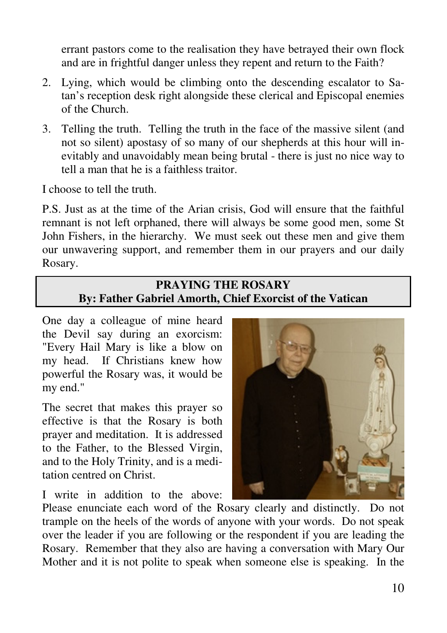errant pastors come to the realisation they have betrayed their own flock and are in frightful danger unless they repent and return to the Faith?

- 2. Lying, which would be climbing onto the descending escalator to Satan's reception desk right alongside these clerical and Episcopal enemies of the Church.
- 3. Telling the truth. Telling the truth in the face of the massive silent (and not so silent) apostasy of so many of our shepherds at this hour will inevitably and unavoidably mean being brutal - there is just no nice way to tell a man that he is a faithless traitor.

I choose to tell the truth.

P.S. Just as at the time of the Arian crisis, God will ensure that the faithful remnant is not left orphaned, there will always be some good men, some St John Fishers, in the hierarchy. We must seek out these men and give them our unwavering support, and remember them in our prayers and our daily Rosary.

# **PRAYING THE ROSARY By: Father Gabriel Amorth, Chief Exorcist of the Vatican**

One day a colleague of mine heard the Devil say during an exorcism: "Every Hail Mary is like a blow on my head. If Christians knew how powerful the Rosary was, it would be my end."

The secret that makes this prayer so effective is that the Rosary is both prayer and meditation. It is addressed to the Father, to the Blessed Virgin, and to the Holy Trinity, and is a meditation centred on Christ.

I write in addition to the above:



Please enunciate each word of the Rosary clearly and distinctly. Do not trample on the heels of the words of anyone with your words. Do not speak over the leader if you are following or the respondent if you are leading the Rosary. Remember that they also are having a conversation with Mary Our Mother and it is not polite to speak when someone else is speaking. In the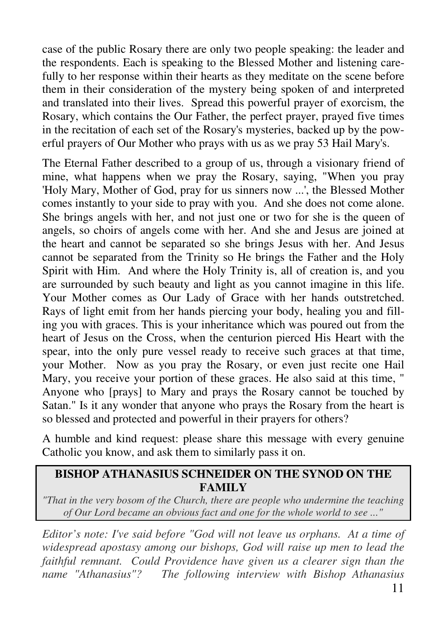case of the public Rosary there are only two people speaking: the leader and the respondents. Each is speaking to the Blessed Mother and listening carefully to her response within their hearts as they meditate on the scene before them in their consideration of the mystery being spoken of and interpreted and translated into their lives. Spread this powerful prayer of exorcism, the Rosary, which contains the Our Father, the perfect prayer, prayed five times in the recitation of each set of the Rosary's mysteries, backed up by the powerful prayers of Our Mother who prays with us as we pray 53 Hail Mary's.

The Eternal Father described to a group of us, through a visionary friend of mine, what happens when we pray the Rosary, saying, "When you pray 'Holy Mary, Mother of God, pray for us sinners now ...', the Blessed Mother comes instantly to your side to pray with you. And she does not come alone. She brings angels with her, and not just one or two for she is the queen of angels, so choirs of angels come with her. And she and Jesus are joined at the heart and cannot be separated so she brings Jesus with her. And Jesus cannot be separated from the Trinity so He brings the Father and the Holy Spirit with Him. And where the Holy Trinity is, all of creation is, and you are surrounded by such beauty and light as you cannot imagine in this life. Your Mother comes as Our Lady of Grace with her hands outstretched. Rays of light emit from her hands piercing your body, healing you and filling you with graces. This is your inheritance which was poured out from the heart of Jesus on the Cross, when the centurion pierced His Heart with the spear, into the only pure vessel ready to receive such graces at that time, your Mother. Now as you pray the Rosary, or even just recite one Hail Mary, you receive your portion of these graces. He also said at this time, " Anyone who [prays] to Mary and prays the Rosary cannot be touched by Satan." Is it any wonder that anyone who prays the Rosary from the heart is so blessed and protected and powerful in their prayers for others?

A humble and kind request: please share this message with every genuine Catholic you know, and ask them to similarly pass it on.

# **BISHOP ATHANASIUS SCHNEIDER ON THE SYNOD ON THE FAMILY**

*"That in the very bosom of the Church, there are people who undermine the teaching of Our Lord became an obvious fact and one for the whole world to see ..."*

*Editor's note: I've said before "God will not leave us orphans. At a time of widespread apostasy among our bishops, God will raise up men to lead the faithful remnant. Could Providence have given us a clearer sign than the name "Athanasius"? The following interview with Bishop Athanasius*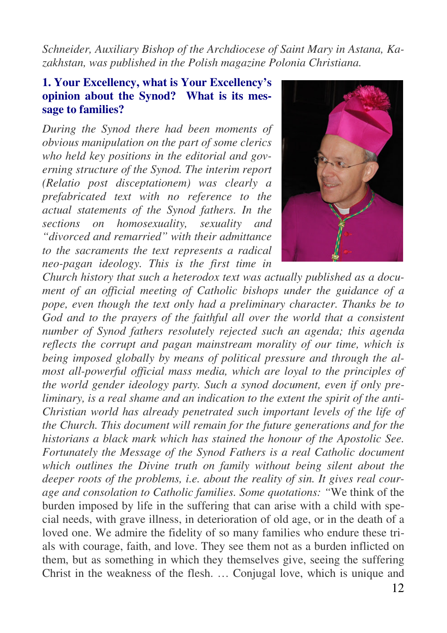*Schneider, Auxiliary Bishop of the Archdiocese of Saint Mary in Astana, Kazakhstan, was published in the Polish magazine Polonia Christiana.*

### **1. Your Excellency, what is Your Excellency's opinion about the Synod? What is its message to families?**

*During the Synod there had been moments of obvious manipulation on the part of some clerics who held key positions in the editorial and governing structure of the Synod. The interim report (Relatio post disceptationem) was clearly a prefabricated text with no reference to the actual statements of the Synod fathers. In the sections on homosexuality, sexuality and "divorced and remarried" with their admittance to the sacraments the text represents a radical neo-pagan ideology. This is the first time in* 



*Church history that such a heterodox text was actually published as a document of an official meeting of Catholic bishops under the guidance of a pope, even though the text only had a preliminary character. Thanks be to God and to the prayers of the faithful all over the world that a consistent number of Synod fathers resolutely rejected such an agenda; this agenda reflects the corrupt and pagan mainstream morality of our time, which is being imposed globally by means of political pressure and through the almost all-powerful official mass media, which are loyal to the principles of the world gender ideology party. Such a synod document, even if only preliminary, is a real shame and an indication to the extent the spirit of the anti-Christian world has already penetrated such important levels of the life of the Church. This document will remain for the future generations and for the historians a black mark which has stained the honour of the Apostolic See. Fortunately the Message of the Synod Fathers is a real Catholic document which outlines the Divine truth on family without being silent about the deeper roots of the problems, i.e. about the reality of sin. It gives real courage and consolation to Catholic families. Some quotations: "*We think of the burden imposed by life in the suffering that can arise with a child with special needs, with grave illness, in deterioration of old age, or in the death of a loved one. We admire the fidelity of so many families who endure these trials with courage, faith, and love. They see them not as a burden inflicted on them, but as something in which they themselves give, seeing the suffering Christ in the weakness of the flesh. … Conjugal love, which is unique and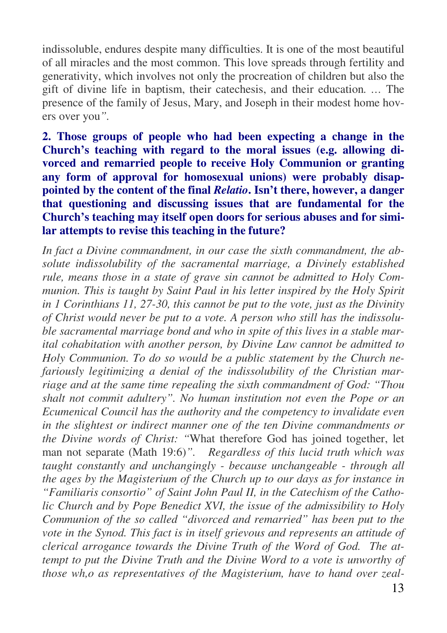indissoluble, endures despite many difficulties. It is one of the most beautiful of all miracles and the most common. This love spreads through fertility and generativity, which involves not only the procreation of children but also the gift of divine life in baptism, their catechesis, and their education*. …* The presence of the family of Jesus, Mary, and Joseph in their modest home hovers over you*".* 

**2. Those groups of people who had been expecting a change in the Church's teaching with regard to the moral issues (e.g. allowing divorced and remarried people to receive Holy Communion or granting any form of approval for homosexual unions) were probably disappointed by the content of the final** *Relatio***. Isn't there, however, a danger that questioning and discussing issues that are fundamental for the Church's teaching may itself open doors for serious abuses and for similar attempts to revise this teaching in the future?**

*In fact a Divine commandment, in our case the sixth commandment, the absolute indissolubility of the sacramental marriage, a Divinely established rule, means those in a state of grave sin cannot be admitted to Holy Communion. This is taught by Saint Paul in his letter inspired by the Holy Spirit in 1 Corinthians 11, 27-30, this cannot be put to the vote, just as the Divinity of Christ would never be put to a vote. A person who still has the indissoluble sacramental marriage bond and who in spite of this lives in a stable marital cohabitation with another person, by Divine Law cannot be admitted to Holy Communion. To do so would be a public statement by the Church nefariously legitimizing a denial of the indissolubility of the Christian marriage and at the same time repealing the sixth commandment of God: "Thou shalt not commit adultery". No human institution not even the Pope or an Ecumenical Council has the authority and the competency to invalidate even in the slightest or indirect manner one of the ten Divine commandments or the Divine words of Christ: "*What therefore God has joined together, let man not separate (Math 19:6)*". Regardless of this lucid truth which was taught constantly and unchangingly - because unchangeable - through all the ages by the Magisterium of the Church up to our days as for instance in "Familiaris consortio" of Saint John Paul II, in the Catechism of the Catholic Church and by Pope Benedict XVI, the issue of the admissibility to Holy Communion of the so called "divorced and remarried" has been put to the vote in the Synod. This fact is in itself grievous and represents an attitude of clerical arrogance towards the Divine Truth of the Word of God. The attempt to put the Divine Truth and the Divine Word to a vote is unworthy of those wh,o as representatives of the Magisterium, have to hand over zeal-*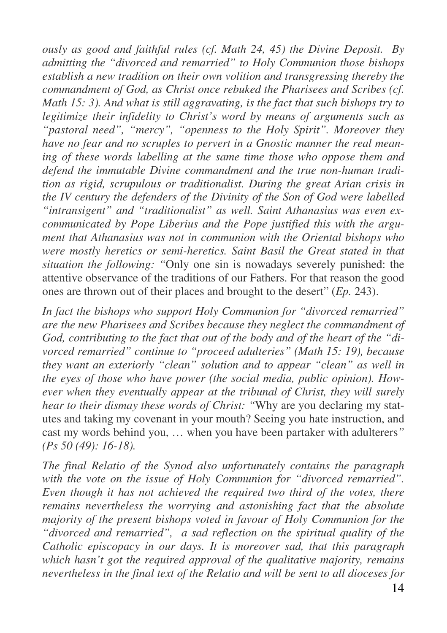*ously as good and faithful rules (cf. Math 24, 45) the Divine Deposit. By admitting the "divorced and remarried" to Holy Communion those bishops establish a new tradition on their own volition and transgressing thereby the commandment of God, as Christ once rebuked the Pharisees and Scribes (cf. Math 15: 3). And what is still aggravating, is the fact that such bishops try to legitimize their infidelity to Christ's word by means of arguments such as "pastoral need", "mercy", "openness to the Holy Spirit". Moreover they have no fear and no scruples to pervert in a Gnostic manner the real meaning of these words labelling at the same time those who oppose them and defend the immutable Divine commandment and the true non-human tradition as rigid, scrupulous or traditionalist. During the great Arian crisis in the IV century the defenders of the Divinity of the Son of God were labelled "intransigent" and "traditionalist" as well. Saint Athanasius was even excommunicated by Pope Liberius and the Pope justified this with the argument that Athanasius was not in communion with the Oriental bishops who were mostly heretics or semi-heretics. Saint Basil the Great stated in that situation the following: "*Only one sin is nowadays severely punished: the attentive observance of the traditions of our Fathers. For that reason the good ones are thrown out of their places and brought to the desert" (*Ep.* 243).

*In fact the bishops who support Holy Communion for "divorced remarried" are the new Pharisees and Scribes because they neglect the commandment of God, contributing to the fact that out of the body and of the heart of the "divorced remarried" continue to "proceed adulteries" (Math 15: 19), because they want an exteriorly "clean" solution and to appear "clean" as well in the eyes of those who have power (the social media, public opinion). However when they eventually appear at the tribunal of Christ, they will surely hear to their dismay these words of Christ: "*Why are you declaring my statutes and taking my covenant in your mouth? Seeing you hate instruction, and cast my words behind you, … when you have been partaker with adulterers*" (Ps 50 (49): 16-18).*

*The final Relatio of the Synod also unfortunately contains the paragraph with the vote on the issue of Holy Communion for "divorced remarried". Even though it has not achieved the required two third of the votes, there remains nevertheless the worrying and astonishing fact that the absolute majority of the present bishops voted in favour of Holy Communion for the "divorced and remarried", a sad reflection on the spiritual quality of the Catholic episcopacy in our days. It is moreover sad, that this paragraph which hasn't got the required approval of the qualitative majority, remains nevertheless in the final text of the Relatio and will be sent to all dioceses for*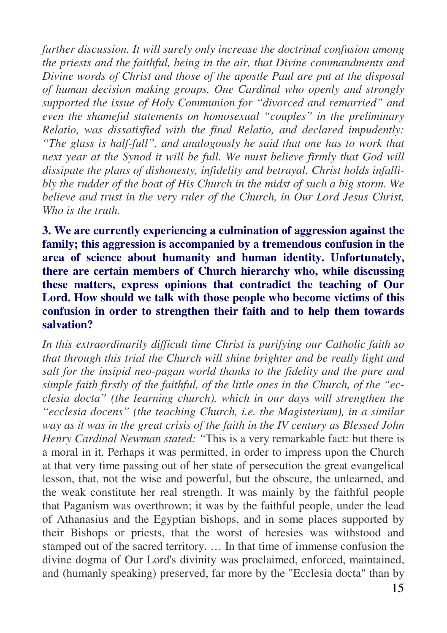*further discussion. It will surely only increase the doctrinal confusion among the priests and the faithful, being in the air, that Divine commandments and Divine words of Christ and those of the apostle Paul are put at the disposal of human decision making groups. One Cardinal who openly and strongly supported the issue of Holy Communion for "divorced and remarried" and even the shameful statements on homosexual "couples" in the preliminary Relatio, was dissatisfied with the final Relatio, and declared impudently: "The glass is half-full", and analogously he said that one has to work that next year at the Synod it will be full. We must believe firmly that God will dissipate the plans of dishonesty, infidelity and betrayal. Christ holds infallibly the rudder of the boat of His Church in the midst of such a big storm. We believe and trust in the very ruler of the Church, in Our Lord Jesus Christ, Who is the truth.*

**3. We are currently experiencing a culmination of aggression against the family; this aggression is accompanied by a tremendous confusion in the area of science about humanity and human identity. Unfortunately, there are certain members of Church hierarchy who, while discussing these matters, express opinions that contradict the teaching of Our Lord. How should we talk with those people who become victims of this confusion in order to strengthen their faith and to help them towards salvation?** 

*In this extraordinarily difficult time Christ is purifying our Catholic faith so that through this trial the Church will shine brighter and be really light and salt for the insipid neo-pagan world thanks to the fidelity and the pure and simple faith firstly of the faithful, of the little ones in the Church, of the "ecclesia docta" (the learning church), which in our days will strengthen the "ecclesia docens" (the teaching Church, i.e. the Magisterium), in a similar way as it was in the great crisis of the faith in the IV century as Blessed John Henry Cardinal Newman stated: "*This is a very remarkable fact: but there is a moral in it. Perhaps it was permitted, in order to impress upon the Church at that very time passing out of her state of persecution the great evangelical lesson, that, not the wise and powerful, but the obscure, the unlearned, and the weak constitute her real strength. It was mainly by the faithful people that Paganism was overthrown; it was by the faithful people, under the lead of Athanasius and the Egyptian bishops, and in some places supported by their Bishops or priests, that the worst of heresies was withstood and stamped out of the sacred territory. … In that time of immense confusion the divine dogma of Our Lord's divinity was proclaimed, enforced, maintained, and (humanly speaking) preserved, far more by the "Ecclesia docta" than by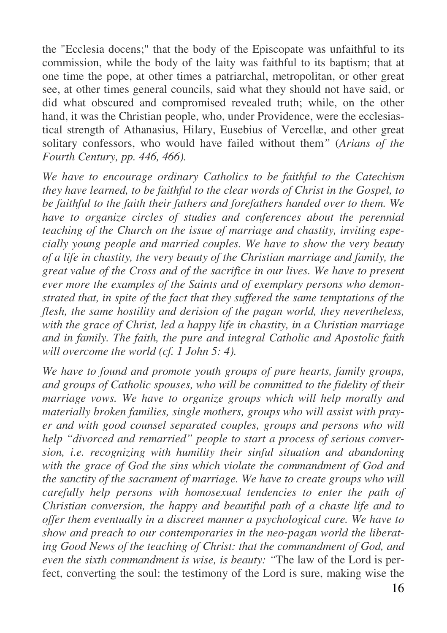the "Ecclesia docens;" that the body of the Episcopate was unfaithful to its commission, while the body of the laity was faithful to its baptism; that at one time the pope, at other times a patriarchal, metropolitan, or other great see, at other times general councils, said what they should not have said, or did what obscured and compromised revealed truth; while, on the other hand, it was the Christian people, who, under Providence, were the ecclesiastical strength of Athanasius, Hilary, Eusebius of Vercellæ, and other great solitary confessors, who would have failed without them*"* (*Arians of the Fourth Century, pp. 446, 466).*

*We have to encourage ordinary Catholics to be faithful to the Catechism they have learned, to be faithful to the clear words of Christ in the Gospel, to be faithful to the faith their fathers and forefathers handed over to them. We have to organize circles of studies and conferences about the perennial teaching of the Church on the issue of marriage and chastity, inviting especially young people and married couples. We have to show the very beauty of a life in chastity, the very beauty of the Christian marriage and family, the great value of the Cross and of the sacrifice in our lives. We have to present ever more the examples of the Saints and of exemplary persons who demonstrated that, in spite of the fact that they suffered the same temptations of the flesh, the same hostility and derision of the pagan world, they nevertheless, with the grace of Christ, led a happy life in chastity, in a Christian marriage and in family. The faith, the pure and integral Catholic and Apostolic faith will overcome the world (cf. 1 John 5: 4).*

*We have to found and promote youth groups of pure hearts, family groups, and groups of Catholic spouses, who will be committed to the fidelity of their marriage vows. We have to organize groups which will help morally and materially broken families, single mothers, groups who will assist with prayer and with good counsel separated couples, groups and persons who will help "divorced and remarried" people to start a process of serious conversion, i.e. recognizing with humility their sinful situation and abandoning with the grace of God the sins which violate the commandment of God and the sanctity of the sacrament of marriage. We have to create groups who will carefully help persons with homosexual tendencies to enter the path of Christian conversion, the happy and beautiful path of a chaste life and to offer them eventually in a discreet manner a psychological cure. We have to show and preach to our contemporaries in the neo-pagan world the liberating Good News of the teaching of Christ: that the commandment of God, and even the sixth commandment is wise, is beauty: "*The law of the Lord is perfect, converting the soul: the testimony of the Lord is sure, making wise the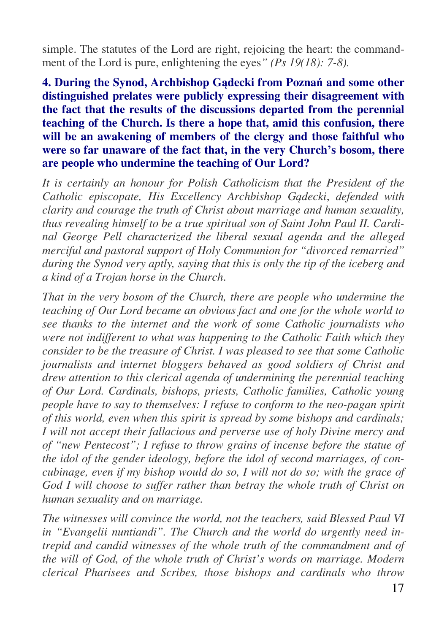simple. The statutes of the Lord are right, rejoicing the heart: the commandment of the Lord is pure, enlightening the eyes*" (Ps 19(18): 7-8).* 

## **4. During the Synod, Archbishop Gądecki from Poznań and some other distinguished prelates were publicly expressing their disagreement with the fact that the results of the discussions departed from the perennial teaching of the Church. Is there a hope that, amid this confusion, there will be an awakening of members of the clergy and those faithful who were so far unaware of the fact that, in the very Church's bosom, there are people who undermine the teaching of Our Lord?**

*It is certainly an honour for Polish Catholicism that the President of the Catholic episcopate, His Excellency Archbishop Gądecki*, *defended with clarity and courage the truth of Christ about marriage and human sexuality, thus revealing himself to be a true spiritual son of Saint John Paul II. Cardinal George Pell characterized the liberal sexual agenda and the alleged merciful and pastoral support of Holy Communion for "divorced remarried" during the Synod very aptly, saying that this is only the tip of the iceberg and a kind of a Trojan horse in the Church*.

*That in the very bosom of the Church, there are people who undermine the teaching of Our Lord became an obvious fact and one for the whole world to see thanks to the internet and the work of some Catholic journalists who were not indifferent to what was happening to the Catholic Faith which they consider to be the treasure of Christ. I was pleased to see that some Catholic journalists and internet bloggers behaved as good soldiers of Christ and drew attention to this clerical agenda of undermining the perennial teaching of Our Lord. Cardinals, bishops, priests, Catholic families, Catholic young people have to say to themselves: I refuse to conform to the neo-pagan spirit of this world, even when this spirit is spread by some bishops and cardinals; I will not accept their fallacious and perverse use of holy Divine mercy and of "new Pentecost"; I refuse to throw grains of incense before the statue of the idol of the gender ideology, before the idol of second marriages, of concubinage, even if my bishop would do so, I will not do so; with the grace of God I will choose to suffer rather than betray the whole truth of Christ on human sexuality and on marriage.*

*The witnesses will convince the world, not the teachers, said Blessed Paul VI in "Evangelii nuntiandi". The Church and the world do urgently need intrepid and candid witnesses of the whole truth of the commandment and of the will of God, of the whole truth of Christ's words on marriage. Modern clerical Pharisees and Scribes, those bishops and cardinals who throw*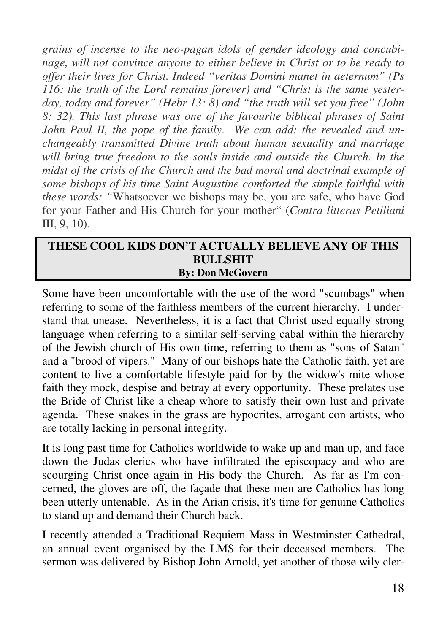*grains of incense to the neo-pagan idols of gender ideology and concubinage, will not convince anyone to either believe in Christ or to be ready to offer their lives for Christ. Indeed "veritas Domini manet in aeternum" (Ps 116: the truth of the Lord remains forever) and "Christ is the same yesterday, today and forever" (Hebr 13: 8) and "the truth will set you free" (John 8: 32). This last phrase was one of the favourite biblical phrases of Saint John Paul II, the pope of the family*. *We can add: the revealed and unchangeably transmitted Divine truth about human sexuality and marriage will bring true freedom to the souls inside and outside the Church. In the midst of the crisis of the Church and the bad moral and doctrinal example of some bishops of his time Saint Augustine comforted the simple faithful with these words: "*Whatsoever we bishops may be, you are safe, who have God for your Father and His Church for your mother" (*Contra litteras Petiliani* III, 9, 10).

#### **THESE COOL KIDS DON'T ACTUALLY BELIEVE ANY OF THIS BULLSHIT By: Don McGovern**

Some have been uncomfortable with the use of the word "scumbags" when referring to some of the faithless members of the current hierarchy. I understand that unease. Nevertheless, it is a fact that Christ used equally strong language when referring to a similar self-serving cabal within the hierarchy of the Jewish church of His own time, referring to them as "sons of Satan" and a "brood of vipers." Many of our bishops hate the Catholic faith, yet are content to live a comfortable lifestyle paid for by the widow's mite whose faith they mock, despise and betray at every opportunity. These prelates use the Bride of Christ like a cheap whore to satisfy their own lust and private agenda. These snakes in the grass are hypocrites, arrogant con artists, who are totally lacking in personal integrity.

It is long past time for Catholics worldwide to wake up and man up, and face down the Judas clerics who have infiltrated the episcopacy and who are scourging Christ once again in His body the Church. As far as I'm concerned, the gloves are off, the façade that these men are Catholics has long been utterly untenable. As in the Arian crisis, it's time for genuine Catholics to stand up and demand their Church back.

I recently attended a Traditional Requiem Mass in Westminster Cathedral, an annual event organised by the LMS for their deceased members. The sermon was delivered by Bishop John Arnold, yet another of those wily cler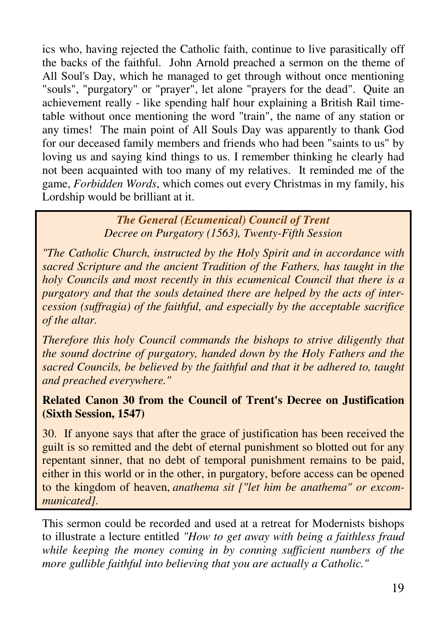ics who, having rejected the Catholic faith, continue to live parasitically off the backs of the faithful. John Arnold preached a sermon on the theme of All Soul's Day, which he managed to get through without once mentioning "souls", "purgatory" or "prayer", let alone "prayers for the dead". Quite an achievement really - like spending half hour explaining a British Rail timetable without once mentioning the word "train", the name of any station or any times! The main point of All Souls Day was apparently to thank God for our deceased family members and friends who had been "saints to us" by loving us and saying kind things to us. I remember thinking he clearly had not been acquainted with too many of my relatives. It reminded me of the game, *Forbidden Words*, which comes out every Christmas in my family, his Lordship would be brilliant at it.

> *The General (Ecumenical) Council of Trent Decree on Purgatory (1563), Twenty-Fifth Session*

*"The Catholic Church, instructed by the Holy Spirit and in accordance with sacred Scripture and the ancient Tradition of the Fathers, has taught in the holy Councils and most recently in this ecumenical Council that there is a purgatory and that the souls detained there are helped by the acts of intercession (suffragia) of the faithful, and especially by the acceptable sacrifice of the altar.* 

*Therefore this holy Council commands the bishops to strive diligently that the sound doctrine of purgatory, handed down by the Holy Fathers and the sacred Councils, be believed by the faithful and that it be adhered to, taught and preached everywhere."* 

## **Related Canon 30 from the Council of Trent's Decree on Justification (Sixth Session, 1547)**

30. If anyone says that after the grace of justification has been received the guilt is so remitted and the debt of eternal punishment so blotted out for any repentant sinner, that no debt of temporal punishment remains to be paid, either in this world or in the other, in purgatory, before access can be opened to the kingdom of heaven, *anathema sit ["let him be anathema" or excommunicated].*

This sermon could be recorded and used at a retreat for Modernists bishops to illustrate a lecture entitled *"How to get away with being a faithless fraud while keeping the money coming in by conning sufficient numbers of the more gullible faithful into believing that you are actually a Catholic."*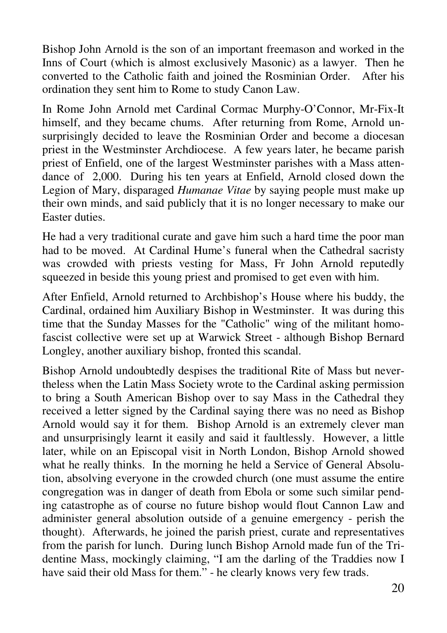Bishop John Arnold is the son of an important freemason and worked in the Inns of Court (which is almost exclusively Masonic) as a lawyer. Then he converted to the Catholic faith and joined the Rosminian Order. After his ordination they sent him to Rome to study Canon Law.

In Rome John Arnold met Cardinal Cormac Murphy-O'Connor, Mr-Fix-It himself, and they became chums. After returning from Rome, Arnold unsurprisingly decided to leave the Rosminian Order and become a diocesan priest in the Westminster Archdiocese. A few years later, he became parish priest of Enfield, one of the largest Westminster parishes with a Mass attendance of 2,000. During his ten years at Enfield, Arnold closed down the Legion of Mary, disparaged *Humanae Vitae* by saying people must make up their own minds, and said publicly that it is no longer necessary to make our Easter duties.

He had a very traditional curate and gave him such a hard time the poor man had to be moved. At Cardinal Hume's funeral when the Cathedral sacristy was crowded with priests vesting for Mass, Fr John Arnold reputedly squeezed in beside this young priest and promised to get even with him.

After Enfield, Arnold returned to Archbishop's House where his buddy, the Cardinal, ordained him Auxiliary Bishop in Westminster. It was during this time that the Sunday Masses for the "Catholic" wing of the militant homofascist collective were set up at Warwick Street - although Bishop Bernard Longley, another auxiliary bishop, fronted this scandal.

Bishop Arnold undoubtedly despises the traditional Rite of Mass but nevertheless when the Latin Mass Society wrote to the Cardinal asking permission to bring a South American Bishop over to say Mass in the Cathedral they received a letter signed by the Cardinal saying there was no need as Bishop Arnold would say it for them. Bishop Arnold is an extremely clever man and unsurprisingly learnt it easily and said it faultlessly. However, a little later, while on an Episcopal visit in North London, Bishop Arnold showed what he really thinks. In the morning he held a Service of General Absolution, absolving everyone in the crowded church (one must assume the entire congregation was in danger of death from Ebola or some such similar pending catastrophe as of course no future bishop would flout Cannon Law and administer general absolution outside of a genuine emergency - perish the thought). Afterwards, he joined the parish priest, curate and representatives from the parish for lunch. During lunch Bishop Arnold made fun of the Tridentine Mass, mockingly claiming, "I am the darling of the Traddies now I have said their old Mass for them." - he clearly knows very few trads.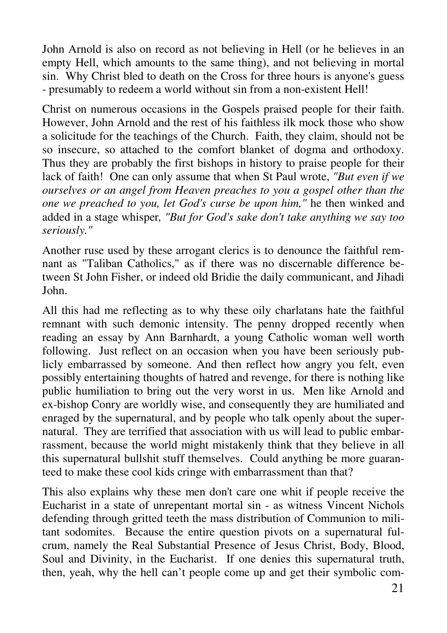John Arnold is also on record as not believing in Hell (or he believes in an empty Hell, which amounts to the same thing), and not believing in mortal sin. Why Christ bled to death on the Cross for three hours is anyone's guess - presumably to redeem a world without sin from a non-existent Hell!

Christ on numerous occasions in the Gospels praised people for their faith. However, John Arnold and the rest of his faithless ilk mock those who show a solicitude for the teachings of the Church. Faith, they claim, should not be so insecure, so attached to the comfort blanket of dogma and orthodoxy. Thus they are probably the first bishops in history to praise people for their lack of faith! One can only assume that when St Paul wrote, *"But even if we ourselves or an angel from Heaven preaches to you a gospel other than the one we preached to you, let God's curse be upon him,"* he then winked and added in a stage whisper*, "But for God's sake don't take anything we say too seriously."* 

Another ruse used by these arrogant clerics is to denounce the faithful remnant as "Taliban Catholics," as if there was no discernable difference between St John Fisher, or indeed old Bridie the daily communicant, and Jihadi John.

All this had me reflecting as to why these oily charlatans hate the faithful remnant with such demonic intensity. The penny dropped recently when reading an essay by Ann Barnhardt, a young Catholic woman well worth following. Just reflect on an occasion when you have been seriously publicly embarrassed by someone. And then reflect how angry you felt, even possibly entertaining thoughts of hatred and revenge, for there is nothing like public humiliation to bring out the very worst in us. Men like Arnold and ex-bishop Conry are worldly wise, and consequently they are humiliated and enraged by the supernatural, and by people who talk openly about the supernatural. They are terrified that association with us will lead to public embarrassment, because the world might mistakenly think that they believe in all this supernatural bullshit stuff themselves. Could anything be more guaranteed to make these cool kids cringe with embarrassment than that?

This also explains why these men don't care one whit if people receive the Eucharist in a state of unrepentant mortal sin - as witness Vincent Nichols defending through gritted teeth the mass distribution of Communion to militant sodomites. Because the entire question pivots on a supernatural fulcrum, namely the Real Substantial Presence of Jesus Christ, Body, Blood, Soul and Divinity, in the Eucharist. If one denies this supernatural truth, then, yeah, why the hell can't people come up and get their symbolic com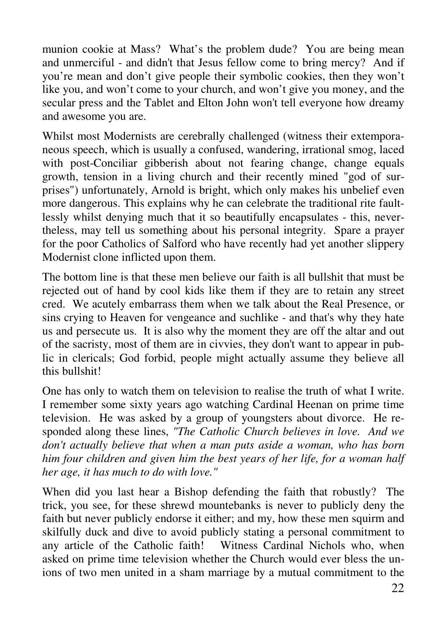munion cookie at Mass? What's the problem dude? You are being mean and unmerciful - and didn't that Jesus fellow come to bring mercy? And if you're mean and don't give people their symbolic cookies, then they won't like you, and won't come to your church, and won't give you money, and the secular press and the Tablet and Elton John won't tell everyone how dreamy and awesome you are.

Whilst most Modernists are cerebrally challenged (witness their extemporaneous speech, which is usually a confused, wandering, irrational smog, laced with post-Conciliar gibberish about not fearing change, change equals growth, tension in a living church and their recently mined "god of surprises") unfortunately, Arnold is bright, which only makes his unbelief even more dangerous. This explains why he can celebrate the traditional rite faultlessly whilst denying much that it so beautifully encapsulates - this, nevertheless, may tell us something about his personal integrity. Spare a prayer for the poor Catholics of Salford who have recently had yet another slippery Modernist clone inflicted upon them.

The bottom line is that these men believe our faith is all bullshit that must be rejected out of hand by cool kids like them if they are to retain any street cred. We acutely embarrass them when we talk about the Real Presence, or sins crying to Heaven for vengeance and suchlike - and that's why they hate us and persecute us. It is also why the moment they are off the altar and out of the sacristy, most of them are in civvies, they don't want to appear in public in clericals; God forbid, people might actually assume they believe all this bullshit!

One has only to watch them on television to realise the truth of what I write. I remember some sixty years ago watching Cardinal Heenan on prime time television. He was asked by a group of youngsters about divorce. He responded along these lines, *"The Catholic Church believes in love. And we don't actually believe that when a man puts aside a woman, who has born him four children and given him the best years of her life, for a woman half her age, it has much to do with love."*

When did you last hear a Bishop defending the faith that robustly? The trick, you see, for these shrewd mountebanks is never to publicly deny the faith but never publicly endorse it either; and my, how these men squirm and skilfully duck and dive to avoid publicly stating a personal commitment to any article of the Catholic faith! Witness Cardinal Nichols who, when asked on prime time television whether the Church would ever bless the unions of two men united in a sham marriage by a mutual commitment to the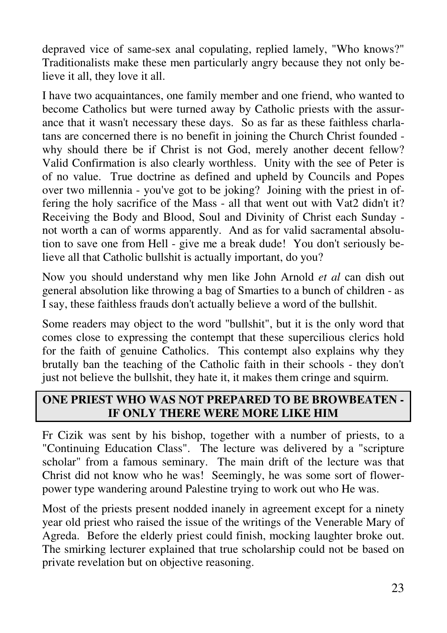depraved vice of same-sex anal copulating, replied lamely, "Who knows?" Traditionalists make these men particularly angry because they not only believe it all, they love it all.

I have two acquaintances, one family member and one friend, who wanted to become Catholics but were turned away by Catholic priests with the assurance that it wasn't necessary these days. So as far as these faithless charlatans are concerned there is no benefit in joining the Church Christ founded why should there be if Christ is not God, merely another decent fellow? Valid Confirmation is also clearly worthless. Unity with the see of Peter is of no value. True doctrine as defined and upheld by Councils and Popes over two millennia - you've got to be joking? Joining with the priest in offering the holy sacrifice of the Mass - all that went out with Vat2 didn't it? Receiving the Body and Blood, Soul and Divinity of Christ each Sunday not worth a can of worms apparently. And as for valid sacramental absolution to save one from Hell - give me a break dude! You don't seriously believe all that Catholic bullshit is actually important, do you?

Now you should understand why men like John Arnold *et al* can dish out general absolution like throwing a bag of Smarties to a bunch of children - as I say, these faithless frauds don't actually believe a word of the bullshit.

Some readers may object to the word "bullshit", but it is the only word that comes close to expressing the contempt that these supercilious clerics hold for the faith of genuine Catholics. This contempt also explains why they brutally ban the teaching of the Catholic faith in their schools - they don't just not believe the bullshit, they hate it, it makes them cringe and squirm.

# **ONE PRIEST WHO WAS NOT PREPARED TO BE BROWBEATEN - IF ONLY THERE WERE MORE LIKE HIM**

Fr Cizik was sent by his bishop, together with a number of priests, to a "Continuing Education Class". The lecture was delivered by a "scripture scholar" from a famous seminary. The main drift of the lecture was that Christ did not know who he was! Seemingly, he was some sort of flowerpower type wandering around Palestine trying to work out who He was.

Most of the priests present nodded inanely in agreement except for a ninety year old priest who raised the issue of the writings of the Venerable Mary of Agreda. Before the elderly priest could finish, mocking laughter broke out. The smirking lecturer explained that true scholarship could not be based on private revelation but on objective reasoning.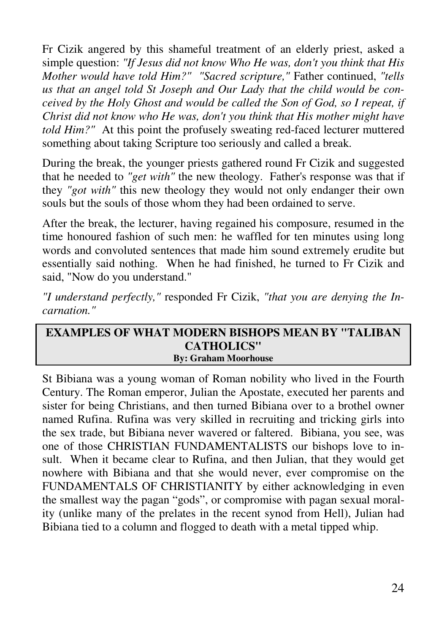Fr Cizik angered by this shameful treatment of an elderly priest, asked a simple question: *"If Jesus did not know Who He was, don't you think that His Mother would have told Him?" "Sacred scripture,"* Father continued, *"tells us that an angel told St Joseph and Our Lady that the child would be conceived by the Holy Ghost and would be called the Son of God, so I repeat, if Christ did not know who He was, don't you think that His mother might have told Him?"* At this point the profusely sweating red-faced lecturer muttered something about taking Scripture too seriously and called a break.

During the break, the younger priests gathered round Fr Cizik and suggested that he needed to *"get with"* the new theology. Father's response was that if they *"got with"* this new theology they would not only endanger their own souls but the souls of those whom they had been ordained to serve.

After the break, the lecturer, having regained his composure, resumed in the time honoured fashion of such men: he waffled for ten minutes using long words and convoluted sentences that made him sound extremely erudite but essentially said nothing. When he had finished, he turned to Fr Cizik and said, "Now do you understand."

*"I understand perfectly,"* responded Fr Cizik, *"that you are denying the Incarnation."* 

### **EXAMPLES OF WHAT MODERN BISHOPS MEAN BY "TALIBAN CATHOLICS" By: Graham Moorhouse**

St Bibiana was a young woman of Roman nobility who lived in the Fourth Century. The Roman emperor, Julian the Apostate, executed her parents and sister for being Christians, and then turned Bibiana over to a brothel owner named Rufina. Rufina was very skilled in recruiting and tricking girls into the sex trade, but Bibiana never wavered or faltered. Bibiana, you see, was one of those CHRISTIAN FUNDAMENTALISTS our bishops love to insult. When it became clear to Rufina, and then Julian, that they would get nowhere with Bibiana and that she would never, ever compromise on the FUNDAMENTALS OF CHRISTIANITY by either acknowledging in even the smallest way the pagan "gods", or compromise with pagan sexual morality (unlike many of the prelates in the recent synod from Hell), Julian had Bibiana tied to a column and flogged to death with a metal tipped whip.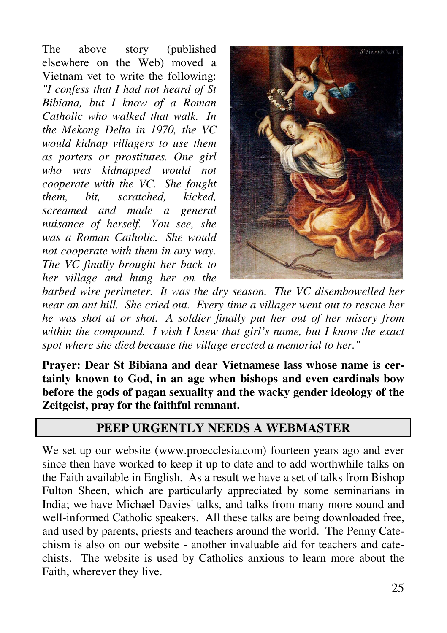The above story (published elsewhere on the Web) moved a Vietnam vet to write the following: *"I confess that I had not heard of St Bibiana, but I know of a Roman Catholic who walked that walk. In the Mekong Delta in 1970, the VC would kidnap villagers to use them as porters or prostitutes. One girl who was kidnapped would not cooperate with the VC. She fought them, bit, scratched, kicked, screamed and made a general nuisance of herself. You see, she was a Roman Catholic. She would not cooperate with them in any way. The VC finally brought her back to her village and hung her on the* 



*barbed wire perimeter. It was the dry season. The VC disembowelled her near an ant hill. She cried out. Every time a villager went out to rescue her he was shot at or shot. A soldier finally put her out of her misery from within the compound. I wish I knew that girl's name, but I know the exact spot where she died because the village erected a memorial to her."* 

**Prayer: Dear St Bibiana and dear Vietnamese lass whose name is certainly known to God, in an age when bishops and even cardinals bow before the gods of pagan sexuality and the wacky gender ideology of the Zeitgeist, pray for the faithful remnant.** 

# **PEEP URGENTLY NEEDS A WEBMASTER**

We set up our website (www.proecclesia.com) fourteen years ago and ever since then have worked to keep it up to date and to add worthwhile talks on the Faith available in English. As a result we have a set of talks from Bishop Fulton Sheen, which are particularly appreciated by some seminarians in India; we have Michael Davies' talks, and talks from many more sound and well-informed Catholic speakers. All these talks are being downloaded free, and used by parents, priests and teachers around the world. The Penny Catechism is also on our website - another invaluable aid for teachers and catechists. The website is used by Catholics anxious to learn more about the Faith, wherever they live.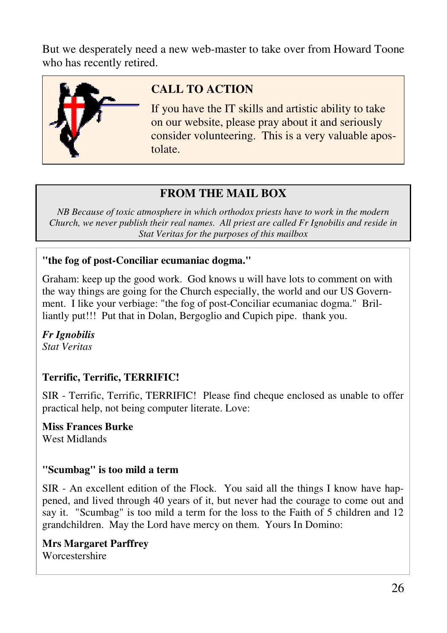But we desperately need a new web-master to take over from Howard Toone who has recently retired.



# **CALL TO ACTION**

If you have the IT skills and artistic ability to take on our website, please pray about it and seriously consider volunteering. This is a very valuable apostolate.

# **FROM THE MAIL BOX**

*NB Because of toxic atmosphere in which orthodox priests have to work in the modern Church, we never publish their real names. All priest are called Fr Ignobilis and reside in Stat Veritas for the purposes of this mailbox* 

#### **"the fog of post-Conciliar ecumaniac dogma."**

Graham: keep up the good work. God knows u will have lots to comment on with the way things are going for the Church especially, the world and our US Government. I like your verbiage: "the fog of post-Conciliar ecumaniac dogma." Brilliantly put!!! Put that in Dolan, Bergoglio and Cupich pipe. thank you.

*Fr Ignobilis Stat Veritas* 

### **Terrific, Terrific, TERRIFIC!**

SIR - Terrific, Terrific, TERRIFIC! Please find cheque enclosed as unable to offer practical help, not being computer literate. Love:

**Miss Frances Burke**  West Midlands

### **"Scumbag" is too mild a term**

SIR - An excellent edition of the Flock. You said all the things I know have happened, and lived through 40 years of it, but never had the courage to come out and say it. "Scumbag" is too mild a term for the loss to the Faith of 5 children and 12 grandchildren. May the Lord have mercy on them. Yours In Domino:

**Mrs Margaret Parffrey**  Worcestershire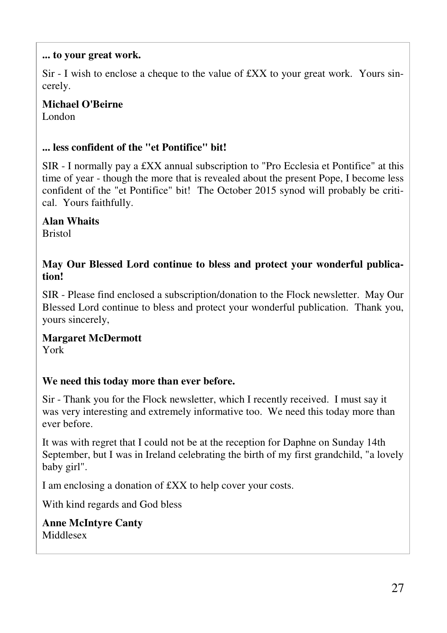#### **... to your great work.**

 $Sir - I$  wish to enclose a cheque to the value of  $EXX$  to your great work. Yours sincerely.

## **Michael O'Beirne**

London

#### **... less confident of the "et Pontifice" bit!**

SIR - I normally pay a £XX annual subscription to "Pro Ecclesia et Pontifice" at this time of year - though the more that is revealed about the present Pope, I become less confident of the "et Pontifice" bit! The October 2015 synod will probably be critical. Yours faithfully.

### **Alan Whaits**

Bristol

**May Our Blessed Lord continue to bless and protect your wonderful publication!** 

SIR - Please find enclosed a subscription/donation to the Flock newsletter. May Our Blessed Lord continue to bless and protect your wonderful publication. Thank you, yours sincerely,

#### **Margaret McDermott**  York

### **We need this today more than ever before.**

Sir - Thank you for the Flock newsletter, which I recently received. I must say it was very interesting and extremely informative too. We need this today more than ever before.

It was with regret that I could not be at the reception for Daphne on Sunday 14th September, but I was in Ireland celebrating the birth of my first grandchild, "a lovely baby girl".

I am enclosing a donation of £XX to help cover your costs.

With kind regards and God bless

#### **Anne McIntyre Canty**  Middlesex